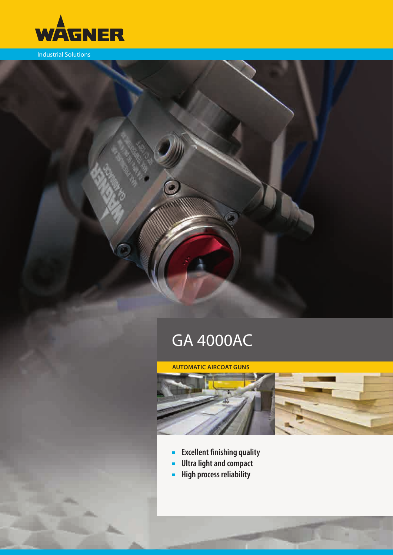

Industrial Solutions

# GA 4000AC

G

## **automatic aircoat guns**



- ■■ **Excellent finishing quality**
- ■■ **Ultra light and compact**
- ■■ **High process reliability**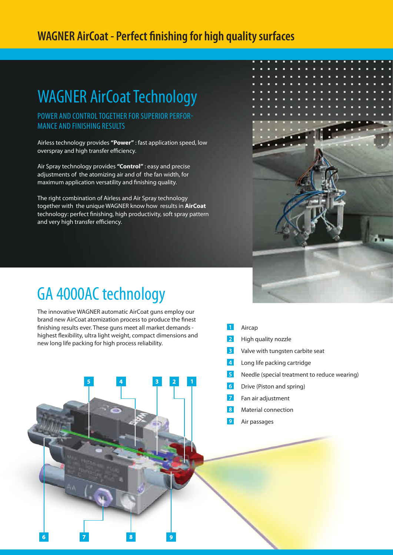## **WAGNER AirCoat - Perfect finishing for high quality surfaces**

## WAGNER AirCoat Technology

POWER AND CONTROL TOGETHER FOR SUPERIOR PERFORmance and finishing results

Airless technology provides **"Power"** : fast application speed, low overspray and high transfer efficiency.

Air Spray technology provides **"Control"** : easy and precise adjustments of the atomizing air and of the fan width, for maximum application versatility and finishing quality.

The right combination of Airless and Air Spray technology together with the unique WAGNER know how results in **AirCoat** technology: perfect finishing, high productivity, soft spray pattern and very high transfer efficiency.



## GA 4000AC technology

 $\overline{6}$ 

The innovative WAGNER automatic AirCoat guns employ our brand new AirCoat atomization process to produce the finest finishing results ever. These guns meet all market demands highest flexibility, ultra light weight, compact dimensions and new long life packing for high process reliability.

 $\overline{8}$ 

 $\overline{9}$ 

- $\overline{1}$ Aircap
- $\overline{2}$ High quality nozzle
- $\overline{3}$ Valve with tungsten carbite seat
- $\overline{4}$ Long life packing cartridge
- $\overline{5}$ Needle (special treatment to reduce wearing)
- 6 Drive (Piston and spring)
- $\overline{7}$ Fan air adjustment
- $\overline{8}$ Material connection
- $\overline{9}$ Air passages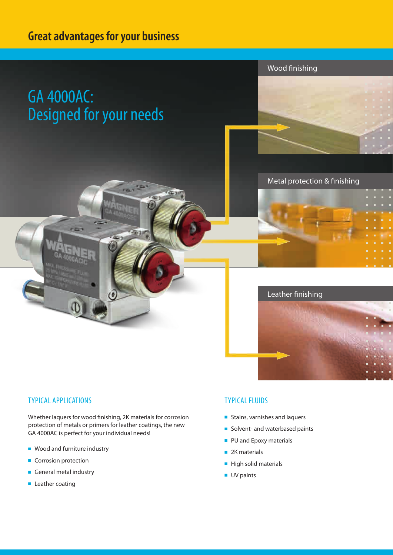## **Great advantages for your business**

# GA 4000AC: Designed for your needs





Metal protection & finishing



### **TYPICAL APPLICATIONS**

Whether laquers for wood finishing, 2K materials for corrosion protection of metals or primers for leather coatings, the new GA 4000AC is perfect for your individual needs!

- Wood and furniture industry
- Corrosion protection
- General metal industry
- Leather coating

### typical fluids

- Stains, varnishes and laquers
- Solvent- and waterbased paints
- PU and Epoxy materials
- 2K materials
- High solid materials
- UV paints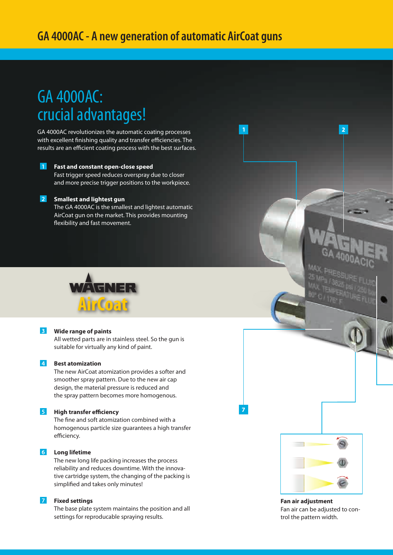## **GA 4000AC - A new generation of automatic AirCoat guns**

## GA 4000AC: crucial advantages!

GA 4000AC revolutionizes the automatic coating processes with excellent finishing quality and transfer efficiencies. The results are an efficient coating process with the best surfaces.

### I 1 I **Fast and constant open-close speed** Fast trigger speed reduces overspray due to closer and more precise trigger positions to the workpiece.

### **Smallest and lightest gun**

The GA 4000AC is the smallest and lightest automatic AirCoat gun on the market. This provides mounting flexibility and fast movement.



#### $|3|$ **Wide range of paints**

All wetted parts are in stainless steel. So the gun is suitable for virtually any kind of paint.

### **A** Best atomization

The new AirCoat atomization provides a softer and smoother spray pattern. Due to the new air cap design, the material pressure is reduced and the spray pattern becomes more homogenous.

### **F** High transfer efficiency

The fine and soft atomization combined with a homogenous particle size guarantees a high transfer efficiency.

### **6** Long lifetime

The new long life packing increases the process reliability and reduces downtime. With the innovative cartridge system, the changing of the packing is simplified and takes only minutes!

### **Fixed settings**

The base plate system maintains the position and all settings for reproducable spraying results.



 $\overline{2}$ 

 $\overline{1}$ 

**Fan air adjustment** Fan air can be adjusted to control the pattern width.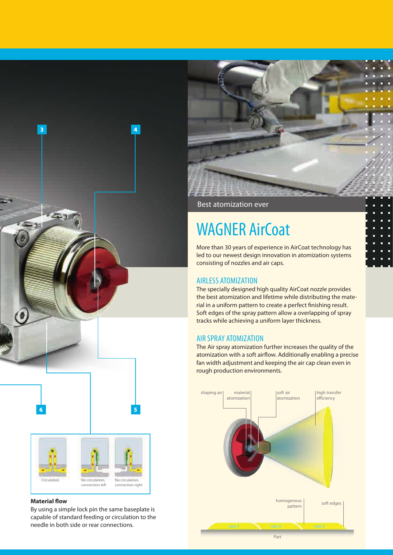



### **Material flow**

By using a simple lock pin the same baseplate is capable of standard feeding or circulation to the needle in both side or rear connections.

Best atomization ever

# WAGNER AirCoat

More than 30 years of experience in AirCoat technology has led to our newest design innovation in atomization systems consisting of nozzles and air caps.

### airless atomization

The specially designed high quality AirCoat nozzle provides the best atomization and lifetime while distributing the material in a uniform pattern to create a perfect finishing result. Soft edges of the spray pattern allow a overlapping of spray tracks while achieving a uniform layer thickness.

### Air spray atomization

The Air spray atomization further increases the quality of the atomization with a soft airflow. Additionally enabling a precise fan width adjustment and keeping the air cap clean even in rough production environments.

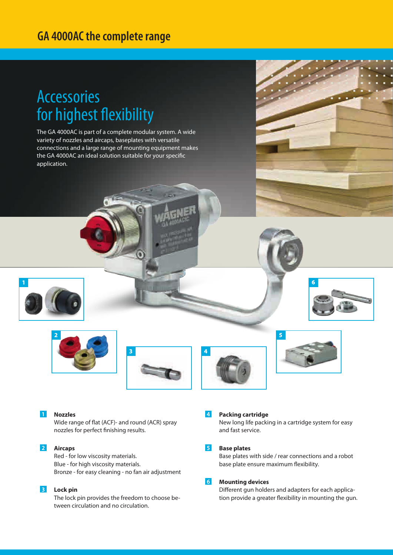## **GA 4000AC the complete range**

## Accessories for highest flexibility

The GA 4000AC is part of a complete modular system. A wide variety of nozzles and aircaps, baseplates with versatile connections and a large range of mounting equipment makes the GA 4000AC an ideal solution suitable for your specific application.











6

#### $\overline{1}$ **Nozzles**

Wide range of flat (ACF)- and round (ACR) spray nozzles for perfect finishing results.

#### $|2|$ **Aircaps**

Red - for low viscosity materials. Blue - for high viscosity materials. Bronze - for easy cleaning - no fan air adjustment

### **<u>B**</u> Lock pin

The lock pin provides the freedom to choose between circulation and no circulation.

### $\vert 4 \vert$ **Packing cartridge**

New long life packing in a cartridge system for easy and fast service.

#### $5<sub>1</sub>$ **Base plates**

Base plates with side / rear connections and a robot base plate ensure maximum flexibility.

#### $6 \mid$ **Mounting devices**

Different gun holders and adapters for each application provide a greater flexibility in mounting the gun.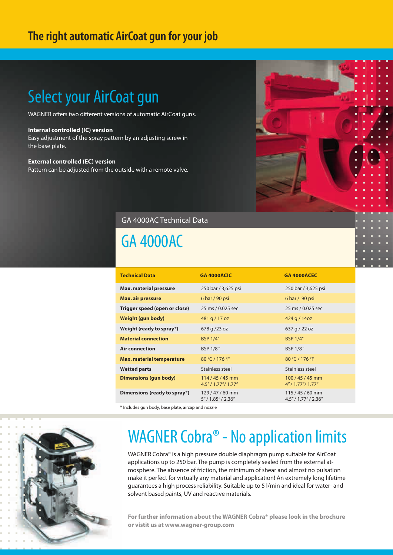## **The right automatic AirCoat gun for your job**

# Select your AirCoat gun

WAGNER offers two different versions of automatic AirCoat guns.

### **Internal controlled (IC) version**

Easy adjustment of the spray pattern by an adjusting screw in the base plate.

### **External controlled (EC) version**

Pattern can be adjusted from the outside with a remote valve.

## GA 4000AC Technical Data

## GA 4000AC

| <b>Technical Data</b>            | <b>GA 4000ACIC</b>                    | <b>GA 4000ACEC</b>                    |
|----------------------------------|---------------------------------------|---------------------------------------|
| <b>Max. material pressure</b>    | 250 bar / 3,625 psi                   | 250 bar / 3,625 psi                   |
| <b>Max. air pressure</b>         | 6 bar / 90 psi                        | $6 \text{ bar} / 90 \text{ psi}$      |
| Trigger speed (open or close)    | 25 ms / 0.025 sec                     | 25 ms / 0.025 sec                     |
| Weight (gun body)                | 481 g / 17 oz                         | 424 g / 14oz                          |
| Weight (ready to spray*)         | 678 g /23 oz                          | 637 g / 22 oz                         |
| <b>Material connection</b>       | <b>BSP 1/4"</b>                       | <b>BSP 1/4"</b>                       |
| <b>Air connection</b>            | BSP 1/8"                              | BSP 1/8"                              |
| <b>Max. material temperature</b> | 80 °C / 176 °F                        | 80 °C / 176 °F                        |
| <b>Wetted parts</b>              | Stainless steel                       | Stainless steel                       |
| <b>Dimensions (gun body)</b>     | $114/45/45$ mm<br>4.5''/1.77''/1.77'' | $100/45/45$ mm<br>4''/1.77''/1.77''   |
| Dimensions (ready to spray*)     | 129/47/60 mm<br>5''/1.85''/2.36''     | $115/45/60$ mm<br>4.5''/1.77''/2.36'' |

\* Includes gun body, base plate, aircap and nozzle



# WAGNER Cobra<sup>®</sup> - No application limits

WAGNER Cobra® is a high pressure double diaphragm pump suitable for AirCoat applications up to 250 bar. The pump is completely sealed from the external atmosphere. The absence of friction, the minimum of shear and almost no pulsation make it perfect for virtually any material and application! An extremely long lifetime guarantees a high process reliability. Suitable up to 5 l/min and ideal for water- and solvent based paints, UV and reactive materials.

**For further information about the WAGNER Cobra® please look in the brochure or vistit us at www.wagner-group.com**